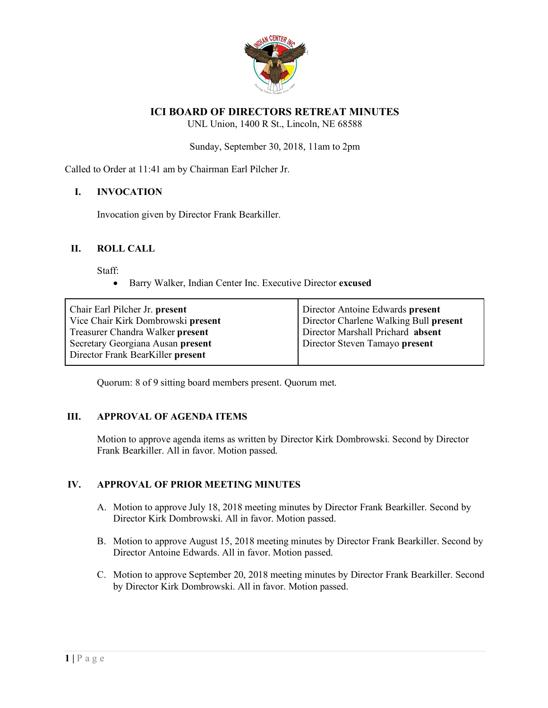

# **ICI BOARD OF DIRECTORS RETREAT MINUTES**

UNL Union, 1400 R St., Lincoln, NE 68588

Sunday, September 30, 2018, 11am to 2pm

Called to Order at 11:41 am by Chairman Earl Pilcher Jr.

### **I. INVOCATION**

Invocation given by Director Frank Bearkiller.

### **II. ROLL CALL**

Staff:

• Barry Walker, Indian Center Inc. Executive Director **excused**

| Chair Earl Pilcher Jr. present<br>Vice Chair Kirk Dombrowski present<br>Treasurer Chandra Walker present<br>Secretary Georgiana Ausan present | Director Antoine Edwards present<br>Director Charlene Walking Bull present<br>Director Marshall Prichard absent<br>Director Steven Tamayo present |
|-----------------------------------------------------------------------------------------------------------------------------------------------|---------------------------------------------------------------------------------------------------------------------------------------------------|
| Director Frank BearKiller present                                                                                                             |                                                                                                                                                   |
|                                                                                                                                               |                                                                                                                                                   |

Quorum: 8 of 9 sitting board members present. Quorum met.

#### **III. APPROVAL OF AGENDA ITEMS**

Motion to approve agenda items as written by Director Kirk Dombrowski. Second by Director Frank Bearkiller. All in favor. Motion passed.

## **IV. APPROVAL OF PRIOR MEETING MINUTES**

- A. Motion to approve July 18, 2018 meeting minutes by Director Frank Bearkiller. Second by Director Kirk Dombrowski. All in favor. Motion passed.
- B. Motion to approve August 15, 2018 meeting minutes by Director Frank Bearkiller. Second by Director Antoine Edwards. All in favor. Motion passed.
- C. Motion to approve September 20, 2018 meeting minutes by Director Frank Bearkiller. Second by Director Kirk Dombrowski. All in favor. Motion passed.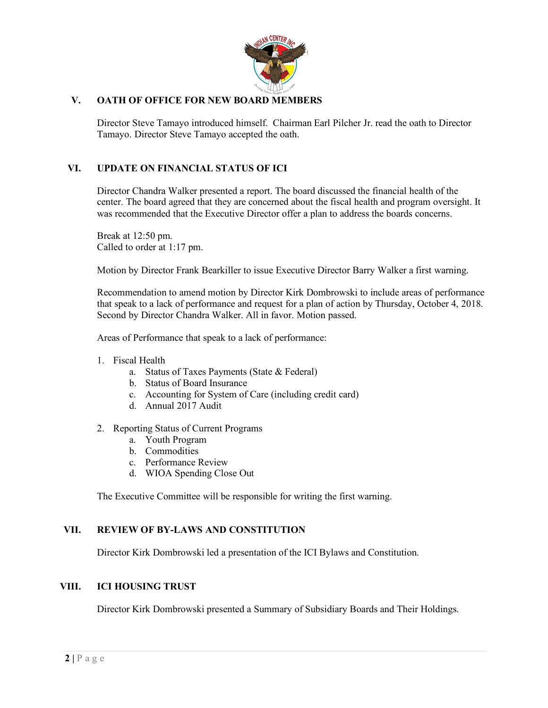

# **V. OATH OF OFFICE FOR NEW BOARD MEMBERS**

Director Steve Tamayo introduced himself. Chairman Earl Pilcher Jr. read the oath to Director Tamayo. Director Steve Tamayo accepted the oath.

## **VI. UPDATE ON FINANCIAL STATUS OF ICI**

Director Chandra Walker presented a report. The board discussed the financial health of the center. The board agreed that they are concerned about the fiscal health and program oversight. It was recommended that the Executive Director offer a plan to address the boards concerns.

Break at 12:50 pm. Called to order at 1:17 pm.

Motion by Director Frank Bearkiller to issue Executive Director Barry Walker a first warning.

Recommendation to amend motion by Director Kirk Dombrowski to include areas of performance that speak to a lack of performance and request for a plan of action by Thursday, October 4, 2018. Second by Director Chandra Walker. All in favor. Motion passed.

Areas of Performance that speak to a lack of performance:

- 1. Fiscal Health
	- a. Status of Taxes Payments (State & Federal)
	- b. Status of Board Insurance
	- c. Accounting for System of Care (including credit card)
	- d. Annual 2017 Audit
- 2. Reporting Status of Current Programs
	- a. Youth Program
	- b. Commodities
	- c. Performance Review
	- d. WIOA Spending Close Out

The Executive Committee will be responsible for writing the first warning.

## **VII. REVIEW OF BY-LAWS AND CONSTITUTION**

Director Kirk Dombrowski led a presentation of the ICI Bylaws and Constitution.

#### **VIII. ICI HOUSING TRUST**

Director Kirk Dombrowski presented a Summary of Subsidiary Boards and Their Holdings.